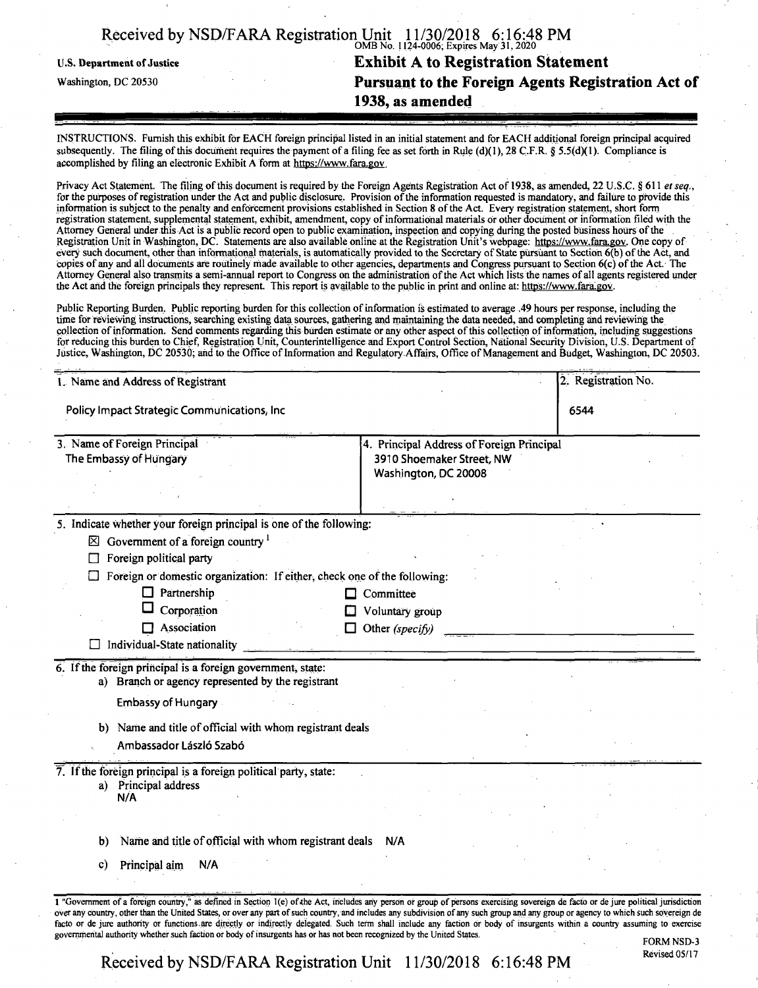|                            | Received by NSD/FARA Registration Unit 11/30/2018 6:16:48 PM |
|----------------------------|--------------------------------------------------------------|
| U.S. Department of Justice | <b>Exhibit A to Registration Statement</b>                   |
| Washington, DC 20530       | Pursuant to the Foreign Agents Registration Act of           |
|                            | 1938, as amended                                             |
|                            |                                                              |

INSTRUCTIONS. Furnish this exhibit for EACH foreign principal listed in an initial statement and for EACH additional foreign principal acquired subsequently. The filing of this document requires the payment of a filing fee as set forth in Rule (d)(1), 28 C.F.R. § 5.5(d)(1). Compliance is accomplished by filing ah electronic Exhibit A form at https://www.fara.gov

Privacy Act Statement. The filing of this document is required by the Foreign Agents Registration Act of 1938, as amended, 22 U.S.C. § 611 *et seq.*, for the purposes ofregistration under the Act and public disclosure. Provision ofthe information requested is mandatory, and failure to provide this information is subject to the penalty and enforcement provisions established in Section 8 ofthe Act. Every registration statement, short form registration statement, supplemental statement, exhibit, amendment, copy ofinformational materials dr other document or information filed with the Attorney General under this Act is a public record open to public examination, inspection and copying during the posted business hours ofthe Registration Unit in Washington, DC. Statements are also available online at the Registration Unit's webpage: https://www.fara.gov. One copy of every such document, other than informational materials, is automatically provided to the Secretary of State pursuant to Section  $\delta(b)$  of the Act, and copies of any and all documents are routinely made available to other agencies, departments and Congress pursuant to Section 6(c) ofthe Act. The Attorney General also transmits a semi-annual report to Congress on the administration ofthe Act which lists the names of all agents registered under the Act and the foreign principals they represent. This report is available to the public in print and online at: https://www.fara.gov.

Public Reporting Burden. Public reporting burden for this collection of information is estimated to average .49 hours per response, including the time for reviewing instructions, searching existing data sources, gathering and maintaining the data needed, and completing and reviewing the collection of information. Send comments regarding this burden estimate or any other aspect of this collection of information, including suggestions for reducing this burden to Chief, Registration Unit, Counterintelligence and Export Control Section, National Security Division, U.S. Department of Justice, Washington, DC 20530; and to the Office of Information and Regulatory Affairs, Office of Management and Budget, Washington, DC 20503.

| 1. Name and Address of Registrant                                                                                                                                                                                                                                                                                                                                                                                                                                                                                                                           | 2. Registration No. |  |
|-------------------------------------------------------------------------------------------------------------------------------------------------------------------------------------------------------------------------------------------------------------------------------------------------------------------------------------------------------------------------------------------------------------------------------------------------------------------------------------------------------------------------------------------------------------|---------------------|--|
| Policy Impact Strategic Communications, Inc.                                                                                                                                                                                                                                                                                                                                                                                                                                                                                                                | 6544                |  |
| 3. Name of Foreign Principal<br>4. Principal Address of Foreign Principal<br>The Embassy of Hungary<br>3910 Shoemaker Street, NW<br>Washington, DC 20008                                                                                                                                                                                                                                                                                                                                                                                                    |                     |  |
|                                                                                                                                                                                                                                                                                                                                                                                                                                                                                                                                                             |                     |  |
| 5. Indicate whether your foreign principal is one of the following:<br>$\boxtimes$ Government of a foreign country $^1$<br>Foreign political party                                                                                                                                                                                                                                                                                                                                                                                                          |                     |  |
| Foreign or domestic organization: If either, check one of the following:                                                                                                                                                                                                                                                                                                                                                                                                                                                                                    |                     |  |
| $\Box$ Partnership                                                                                                                                                                                                                                                                                                                                                                                                                                                                                                                                          | Committee           |  |
| Corporation                                                                                                                                                                                                                                                                                                                                                                                                                                                                                                                                                 | Voluntary group     |  |
| $\Box$ Association<br>Individual-State nationality                                                                                                                                                                                                                                                                                                                                                                                                                                                                                                          | Other (specify)     |  |
| 6. If the foreign principal is a foreign government, state:<br>a) Branch or agency represented by the registrant<br><b>Embassy of Hungary</b><br>b) Name and title of official with whom registrant deals                                                                                                                                                                                                                                                                                                                                                   |                     |  |
| Ambassador László Szabó                                                                                                                                                                                                                                                                                                                                                                                                                                                                                                                                     |                     |  |
| 7. If the foreign principal is a foreign political party, state:<br>a) Principal address<br>N/A                                                                                                                                                                                                                                                                                                                                                                                                                                                             |                     |  |
|                                                                                                                                                                                                                                                                                                                                                                                                                                                                                                                                                             |                     |  |
| Name and title of official with whom registrant deals<br>b)                                                                                                                                                                                                                                                                                                                                                                                                                                                                                                 | N/A                 |  |
| Principal aim<br>N/A<br>C)                                                                                                                                                                                                                                                                                                                                                                                                                                                                                                                                  |                     |  |
|                                                                                                                                                                                                                                                                                                                                                                                                                                                                                                                                                             |                     |  |
| 1 "Government of a foreign country," as defined in Section 1(e) of the Act, includes any person or group of persons exercising sovereign de facto or de jure political jurisdiction<br>over any country, other than the United States, or over any part of such country, and includes any subdivision of any such group and any group or agency to which such sovereign de<br>facto or de jure authority or functions are directly or indirectly delegated. Such term shall include any faction or body of insurgents within a country assuming to exercise |                     |  |

governmental authority whether such faction or body of insurgents has or has not been recognized by the United States.<br>FORM NSD-3

Received by NSD/FARA Registration Unit 11/30/2018 6:16:48 PM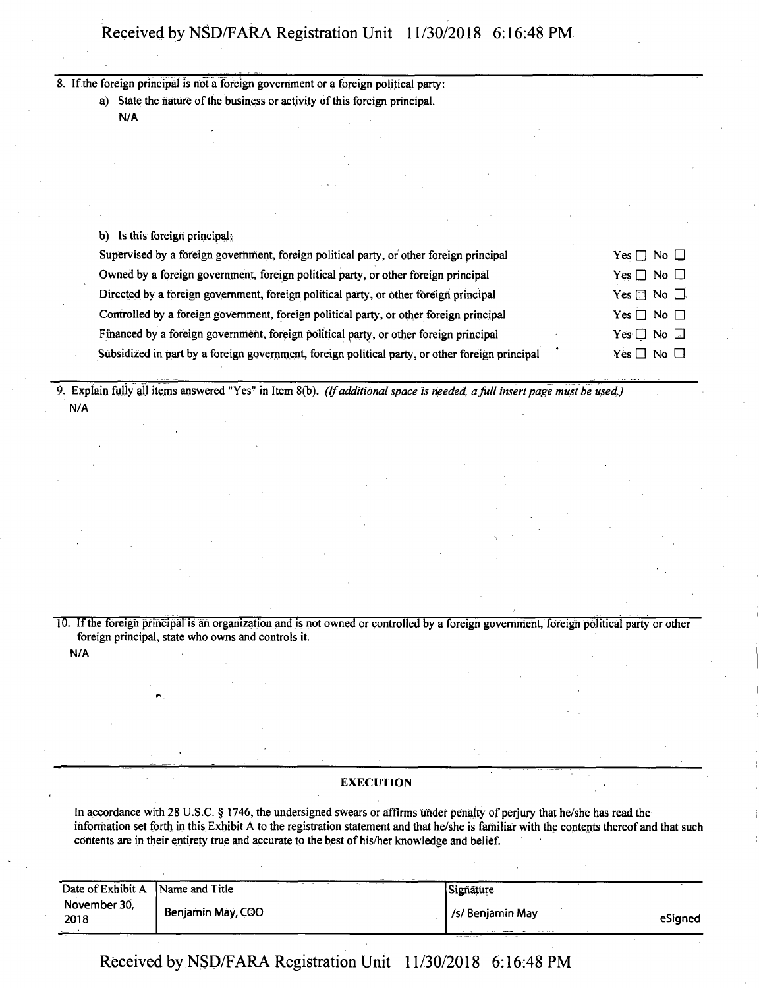**8. Ifthe foreign principal is riot a foreign government or a foreign political party:**

a) State the nature of the business or activity of this foreign principal.

**N/A**

**b) Is this foreign principal:**

| Supervised by a foreign government, foreign political party, or other foreign principal         | Yes $\Box$ No $\Box$       |
|-------------------------------------------------------------------------------------------------|----------------------------|
| Owned by a foreign government, foreign political party, or other foreign principal              | $Yes \Box No \Box$         |
| Directed by a foreign government, foreign political party, or other foreign principal           | Yes $\square$ No $\square$ |
| Controlled by a foreign government, foreign political party, or other foreign principal         | Yes $\Box$ No $\Box$       |
| Financed by a foreign government, foreign political party, or other foreign principal           | $Yes \Box No \Box$         |
| Subsidized in part by a foreign government, foreign political party, or other foreign principal | Yes $\Box$ No $\Box$       |
|                                                                                                 |                            |

9. Explain fully all items answered "Yes" in Item 8(b). (If additional space is needed, a full insert page must be used.) **N/A**

10. If the foreign principal is an organization and is not owned or controlled by a foreign government, foreign political party or other **foreign principal, state who owns and controls it. N/A**

 $\overline{\phantom{a}}$ 

#### **EXECUTION**

In accordance with 28 U.S.C. § 1746, the undersigned swears or affirms under penalty of perjury that he/she has read the information set forth in this Exhibit A to the registration statement and that he/she is familiar with the contents thereof and that such **contents are in their entirety true and accurate to the best ofhis/her knowledge and belief.**

| Date of Exhibit A Name and Title          |                   | Signature             |         |
|-------------------------------------------|-------------------|-----------------------|---------|
| November 30,<br>2018<br>$1.1 - 1.1 + 1.2$ | Benjamin May, COO | /s/ Benjamin May<br>. | eSianed |

Received by NSD/FARA Registration Unit 11/30/2018 6:16:48 PM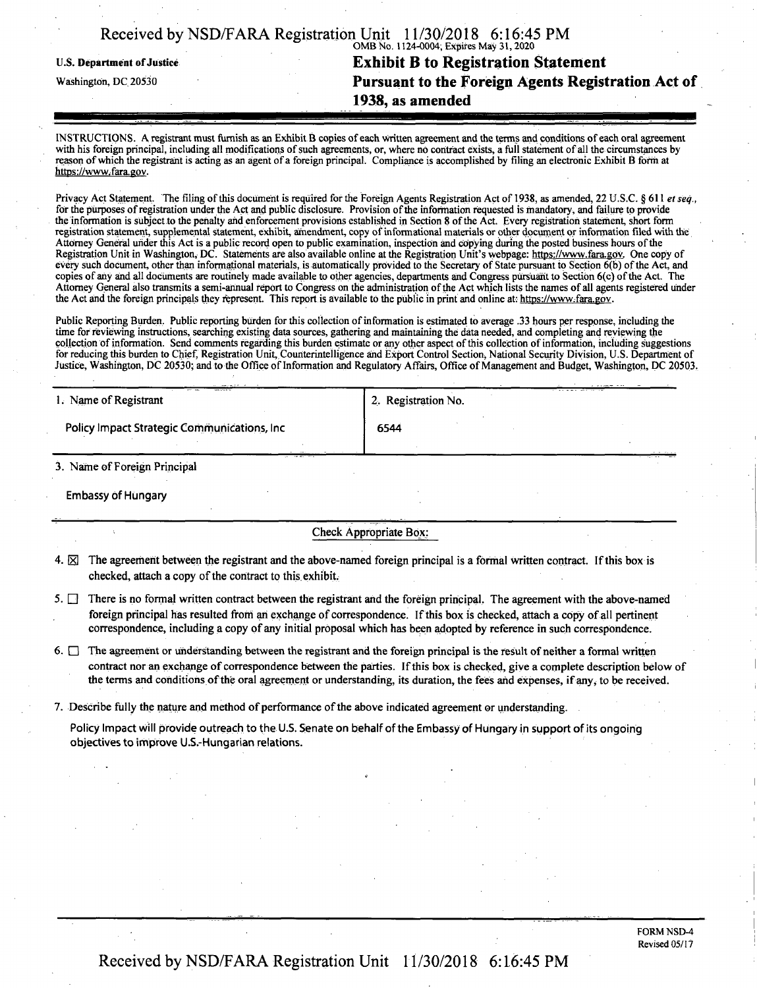| Received by NSD/FARA Registration Unit 11/30/2018 6:16:45 PM |                                         |  |
|--------------------------------------------------------------|-----------------------------------------|--|
|                                                              | OMB No. 1124-0004; Expires May 31, 2020 |  |

# u.s. **Department ofJustice Exhibit** B **to Registration Statement** Washington, dc <sup>20530</sup>**Pursuant to the Foreign Agents Registration Act of 1938, as amended**

INSTRUCTIONS. A registrant must furnish as an Exhibit B copies ofeach written agreement and the terms and conditions ofeach oral agreement with his foreign principal, including all modifications of such agreements, or, where no contract exists, a full statement of all the circumstances by reason ofwhich the registrant is acting as an agent of a foreign principal. Compliance is accomplished by filing an electronic Exhibit **B** form at https://www.fara.gov.

Privacy Act Statement. The filing of this document is required for the Foreign Agents Registration Act of 1938, as amended, 22 U.S.C. § 611 *et seq.*, for the purposes of registration under the Act and public disclosure. Provision of the information requested is mandatory, and failure to provide the information is subject.to the penalty and enforcement provisions established in Section 8 ofthe Act. Every registration statement, short form registration statement, supplemental statement, exhibit, amendment, copy ofinformational materials or other document or information filed with the Attorney General under this Act is a public record open to public examination, inspection and copying during the posted business hours ofthe Registration Unit in Washington, DC. Statements are also available online at the Registration Unit's webpage: https://www.fara.gov. One copy of every such document, other than informational materials, is automatically provided to the Secretary of State pursuant to Section  $6(b)$  of the Act, and copies of any and all documents are routinely made available to other agencies, departments and Congress pursuant to Section 6(c) ofthe Act. The Attorney General also transmits a semi-annual report to Congress on the administration of the Act which lists the names of all agents registered under the Act and the foreign principals they represent. This report is available to the public in print and online at: https://www.fara.gov.

Public Reporting Burden. Public reporting burden for this collection of information is estimated to average .33 hours per response, including the time for reviewing instructions, searching existing data sources, gathering and maintaining the data needed, and completing and reviewing the collection of information. Send comments regarding this burden estimate or any other aspect of this collection of information, including suggestions for reducing this burden to Chief, Registration Unit, Counterintelligence and Export Control Section, National Security Division, U.S. Department of Justice, Washington, DC 20530; and to the Office of Information and Regulatory Affairs, Office of Management and Budget, Washington, DC 20503.

| <b>ME SCARET</b><br>1. Name of Registrant                                                       | 2. Registration No. |  |
|-------------------------------------------------------------------------------------------------|---------------------|--|
| <b>Policy Impact Strategic Communications, Inc.</b>                                             | 6544                |  |
|                                                                                                 |                     |  |
| <b>CHANGE 1999</b><br>$\mathbf{a}$ $\mathbf{a}$ $\mathbf{b}$ $\mathbf{c}$<br>$\sim$ $\sim$<br>. |                     |  |

**3. Name ofForeign Principal**

**Embassy of Hungary**

**Check Appropriate Box;**

- 4.  $\boxtimes$  The agreement between the registrant and the above-named foreign principal is a formal written contract. If this box is **checked, attach a copy of the contract to this exhibit.**
- 5.  $\Box$  There is no formal written contract between the registrant and the foreign principal. The agreement with the above-named foreign principal has resulted from an exchange of correspondence. If this box is checked, attach a copy of all pertinent **correspondence, including a copy ofany initial proposal which has been adopted by reference in such correspondence.**
- 6. The agreement or understanding between the registrant and the foreign principal is the result of neither a formal written contract nor an exchange of correspondence between the parties. If this box is checked, give a complete description below of the terms and conditions of the oral agreement or understanding, its duration, the fees and expenses, if any, to be received.
- **7. Describe fully the nature and method ofperformance ofthe above indicated agreement or understanding.**

Policy Impact will provide outreach to the U.S. Senate on behalf of the Embassy of Hungary in support of its ongoing **objectivesto improve U.S.-Hungarian relations.**

## Received by NSD/FARA Registration Unit 11/30/2018 6:16:45 PM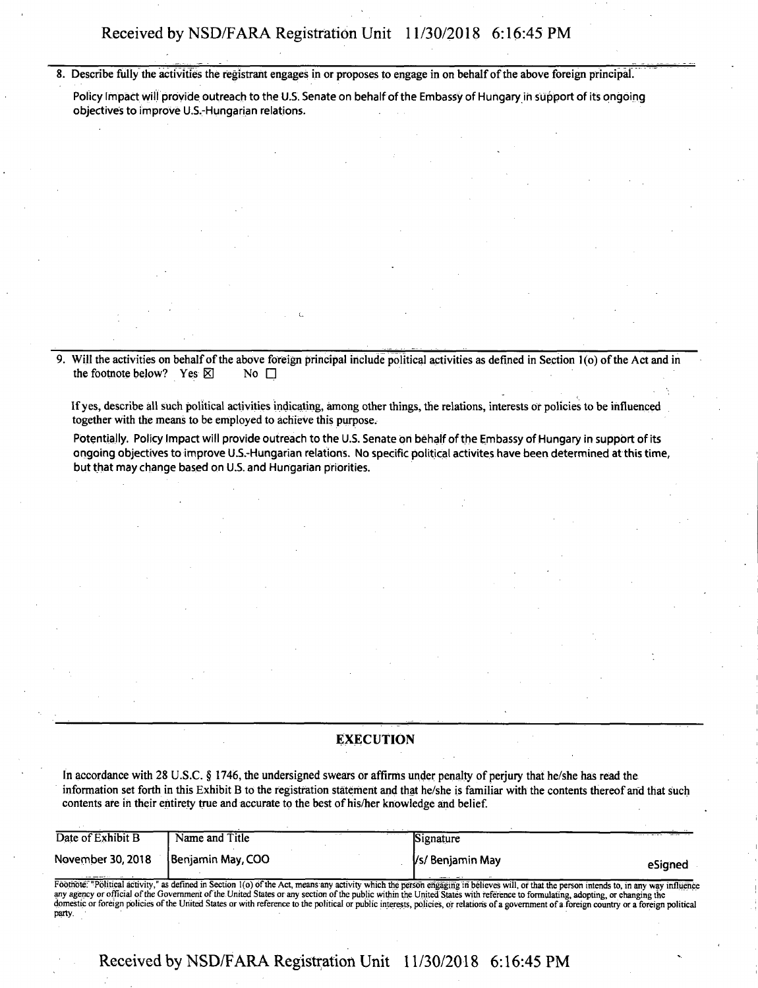8. Describe fully the activities the registrant engages in or proposes to engage in on behalf of the above foreign principal.

Policy Impact will provide outreach to the U.S. Senate on behalf of the Embassy of Hungary in support of its ongoing **objectives to improve U.S.-Hungarian relations. . . .**

9. Will the activities on behalf of the above foreign principal include political activities as defined in Section 1(0) of the Act and in  $\text{the footnote below?}$  **Yes**  $\boxtimes$  **No**  $\Box$ 

If yes, describe all such political activities indicating, among other things, the relations, interests or policies to be influenced **together with the means to be employed to achieve this purpose.**

Potentially. Policy Impact will provide outreach to the U.S. Senate on behalf of the Embassy of Hungary in support of its ongoing objectives to improve U.S.-Hungarian relations. No specific political activites have been determined at this time, **but that may change based on U.S. and Hungarian priorities.**

### **EXECUTION**

In accordance with 28 U.S.C. § 1746, the undersigned swears or affirms under penalty of perjury that he/she has read the information set forth in this Exhibit B to the registration statement and that he/she is familiar with the contents thereof and that such **contents are in their entirety true and accurate to the best ofhis/her knowledge and belief.**

| Date of Exhibit B | Name and Title                                                                                                                                                                                                                                                                                                                                                                                                                                                                                                                                                            | Signature        |         |
|-------------------|---------------------------------------------------------------------------------------------------------------------------------------------------------------------------------------------------------------------------------------------------------------------------------------------------------------------------------------------------------------------------------------------------------------------------------------------------------------------------------------------------------------------------------------------------------------------------|------------------|---------|
| November 30, 2018 | Benjamin May, COO                                                                                                                                                                                                                                                                                                                                                                                                                                                                                                                                                         | Vs/ Benjamin May | eSianed |
|                   | Footnote: "Political activity," as defined in Section 1(o) of the Act, means any activity which the person engaging in believes will, or that the person intends to, in any way influence<br>any agency or official of the Government of the United States or any section of the public within the United States with reference to formulating, adopting, or changing the<br>domestic or foreign policies of the United States or with reference to the political or public interests, policies, or relations of a government of a foreign country or a foreign political |                  |         |

Received by NSD/FARA Registration Unit 11/30/2018 6:16:45 PM

party.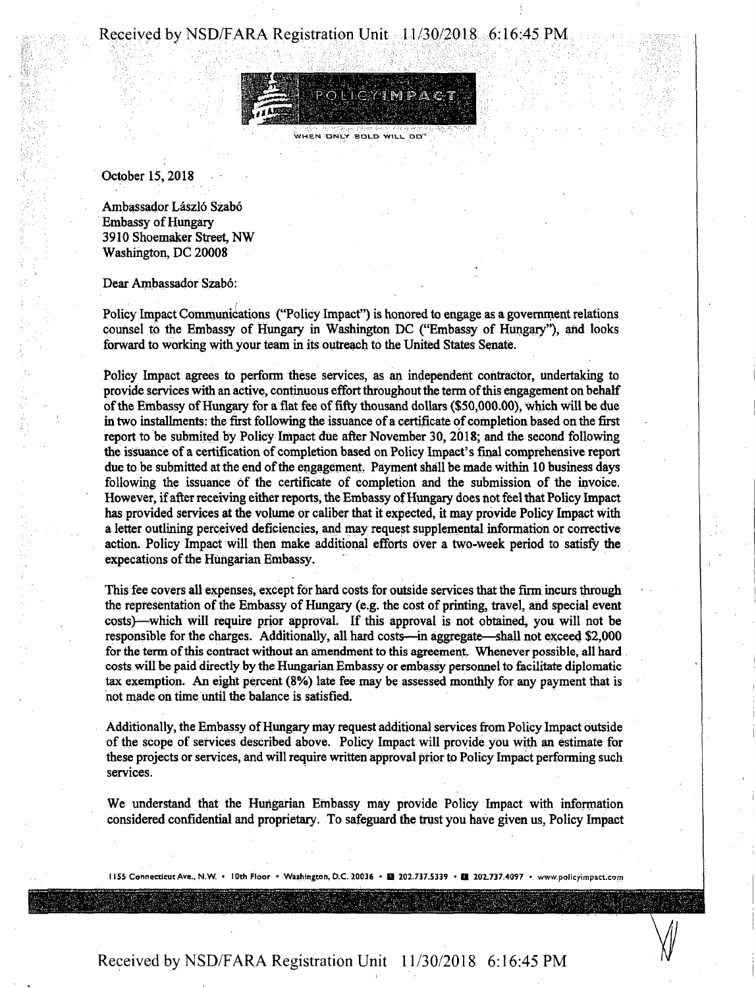### Received by NSD/FARA Registration Unit 11/30/2018 6:16:45 PM



WHEN ONLY BOLD WILL DO"

October 15, 2018

Ambassador László Szabó **Embassy of Hungary** 3910 Shoemaker Street, NW Washington, DC 20008

Dear Ambassador Szabo:

Policy Impact Communications ("Policy Impact") is honored to engage as a government relations counsel to the Embassy of Hungary in Washington DC ("Embassy of Hungary"), and looks forward to working with your team in its outreach to the United States Senate.

Policy Impact agrees to perform these services, as an independent contractor, undertaking to provide services with an active, continuous effort throughout the term of this engagement on behalf of the Embassy of Hungary for a flat fee of fifty thousand dollars (\$50,000.00), which will be due in two installments: the first following the issuance of a certificate of completion based on the first report to be submited by Policy Impact due after November 30, 2018; and the second following the issuance of a certification of completion based on Policy Impact's final comprehensive report due to be submitted at the end of the engagement. Payment shall be made within 10 business days following the issuance of the certificate of completion and the submission of the invoice. However, if after receiving either reports, the Embassy of Hungary does not feel that Policy Impact has provided services at the volume of caliber that it expected, it may provide Policy Impact with a letter outlining perceived deficiencies, and may request supplemental information or corrective action. Policy Impact will then make additional efforts over a two-week period to satisfy the expecations of the Hungarian Embassy.

This fee covers all expenses, except for hard costs for outside services that the firm incurs through the representation of the Embassy of Hungary (e.g. the cost of printing, travel, and special event costs}—which will require prior approval. If this approval is not obtained, you will not be responsible for the charges. Additionally, all hard costs—in aggregate—shall not exceed \$2,000 for the term of this contract without an amendment to this agreement. Whenever possible, all hard costs will be paid directly by the Hungarian Embassy or embassy personnel to facilitate diplomatic tax exemption. An eight percent (8%) late fee may be assessed monthly for any payment that is not made oh time until the balance is satisfied.

Additionally, the Embassy of Hungary may request additional services from Policy Impact outside ofthe scope of services described above. Policy Impact will provide you with an estimate for these projects or services, and will require written approval priorto Policy Impact performing such services.

We understand that the Hungarian Embassy may provide Policy Impact with information considered confidential and proprietary. To safeguard the trust you have given us, Policy Impact

1155 Connecticut Ave., N.W. • 10th Floor • Washington, D.C. 20036 • 图 202.737:5339 • 图 202.737.4097 • www.policyimpact.com